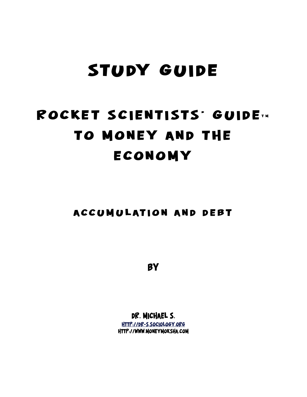# **Study Guide**

# ROCKET SCIENTISTS' GUIDE TH **to Money and the Economy**

**Accumulation and Debt**

**By**

**Dr. Michael S. http://dr-s.sociology.org http://www.moneymoksha.com**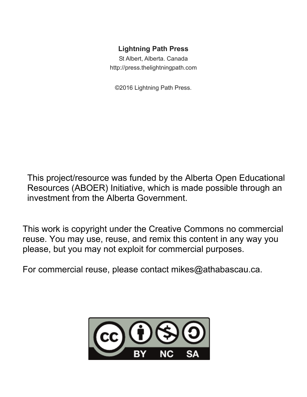### **Lightning Path Press**

St Albert, Alberta. Canada http://press.thelightningpath.com

©2016 Lightning Path Press.

This project/resource was funded by the Alberta Open Educational Resources (ABOER) Initiative, which is made possible through an investment from the Alberta Government.

This work is copyright under the Creative Commons no commercial reuse. You may use, reuse, and remix this content in any way you please, but you may not exploit for commercial purposes.

For commercial reuse, please contact mikes@athabascau.ca.

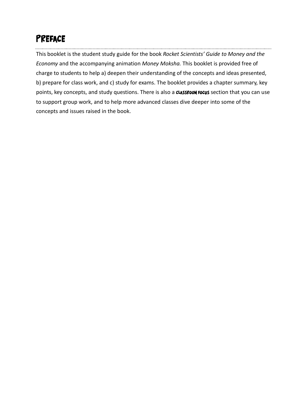# **Preface**

This booklet is the student study guide for the book *Rocket Scientists' Guide to Money and the Economy* and the accompanying animation *Money Moksha.* This booklet is provided free of charge to students to help a) deepen their understanding of the concepts and ideas presented, b) prepare for class work, and c) study for exams. The booklet provides a chapter summary, key points, key concepts, and study questions. There is also a **Classroom Focus** section that you can use to support group work, and to help more advanced classes dive deeper into some of the concepts and issues raised in the book.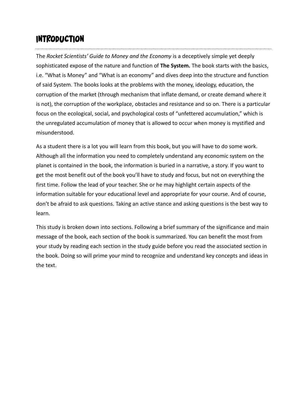## **Introduction**

The *Rocket Scientists' Guide to Money and the Economy* is a deceptively simple yet deeply sophisticated expose of the nature and function of **The System.** The book starts with the basics, i.e. "What is Money" and "What is an economy" and dives deep into the structure and function of said System. The books looks at the problems with the money, ideology, education, the corruption of the market (through mechanism that inflate demand, or create demand where it is not), the corruption of the workplace, obstacles and resistance and so on. There is a particular focus on the ecological, social, and psychological costs of "unfettered accumulation," which is the unregulated accumulation of money that is allowed to occur when money is mystified and misunderstood.

As a student there is a lot you will learn from this book, but you will have to do some work. Although all the information you need to completely understand any economic system on the planet is contained in the book, the information is buried in a narrative, a story. If you want to get the most benefit out of the book you'll have to study and focus, but not on everything the first time. Follow the lead of your teacher. She or he may highlight certain aspects of the information suitable for your educational level and appropriate for your course. And of course, don't be afraid to ask questions. Taking an active stance and asking questions is the best way to learn.

This study is broken down into sections. Following a brief summary of the significance and main message of the book, each section of the book is summarized. You can benefit the most from your study by reading each section in the study guide before you read the associated section in the book. Doing so will prime your mind to recognize and understand key concepts and ideas in the text.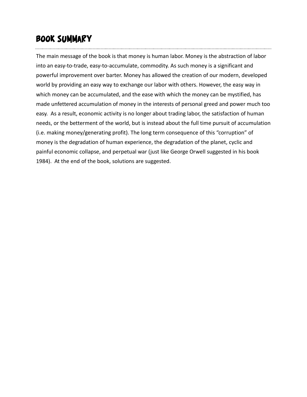# **Book Summary**

The main message of the book is that money is human labor. Money is the abstraction of labor into an easy-to-trade, easy-to-accumulate, commodity. As such money is a significant and powerful improvement over barter. Money has allowed the creation of our modern, developed world by providing an easy way to exchange our labor with others. However, the easy way in which money can be accumulated, and the ease with which the money can be mystified, has made unfettered accumulation of money in the interests of personal greed and power much too easy. As a result, economic activity is no longer about trading labor, the satisfaction of human needs, or the betterment of the world, but is instead about the full time pursuit of accumulation (i.e. making money/generating profit). The long term consequence of this "corruption" of money is the degradation of human experience, the degradation of the planet, cyclic and painful economic collapse, and perpetual war (just like George Orwell suggested in his book 1984). At the end of the book, solutions are suggested.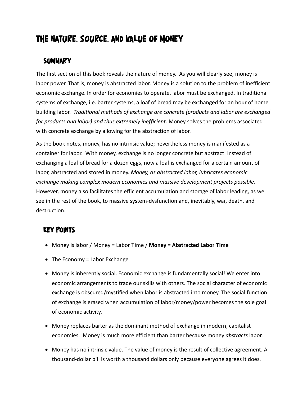### **Summary**

The first section of this book reveals the nature of money. As you will clearly see, money is labor power. That is, money is abstracted labor. Money is a solution to the problem of inefficient economic exchange. In order for economies to operate, labor must be exchanged. In traditional systems of exchange, i.e. barter systems, a loaf of bread may be exchanged for an hour of home building labor. *Traditional methods of exchange are concrete (products and labor are exchanged for products and labor) and thus extremely inefficient*. Money solves the problems associated with concrete exchange by allowing for the abstraction of labor.

As the book notes, money, has no intrinsic value; nevertheless money is manifested as a container for labor. With money, exchange is no longer concrete but abstract. Instead of exchanging a loaf of bread for a dozen eggs, now a loaf is exchanged for a certain amount of labor, abstracted and stored in money. *Money, as abstracted labor, lubricates economic exchange making complex modern economies and massive development projects possible*. However, money also facilitates the efficient accumulation and storage of labor leading, as we see in the rest of the book, to massive system-dysfunction and, inevitably, war, death, and destruction.

### **Key Points**

- Money is labor / Money = Labor Time / **Money = Abstracted Labor Time**
- The Economy = Labor Exchange
- Money is inherently social. Economic exchange is fundamentally social! We enter into economic arrangements to trade our skills with others. The social character of economic exchange is obscured/mystified when labor is abstracted into money. The social function of exchange is erased when accumulation of labor/money/power becomes the sole goal of economic activity.
- Money replaces barter as the dominant method of exchange in modern, capitalist economies. Money is much more efficient than barter because money *abstracts* labor.
- Money has no intrinsic value. The value of money is the result of collective agreement. A thousand-dollar bill is worth a thousand dollars only because everyone agrees it does.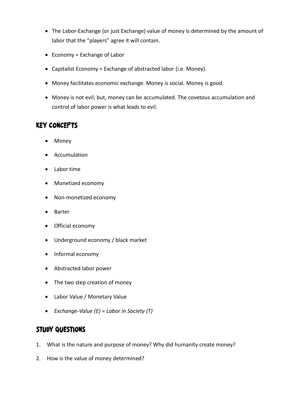- The Labor-Exchange (or just Exchange) value of money is determined by the amount of labor that the "players" agree it will contain.
- Economy = Exchange of Labor
- Capitalist Economy = Exchange of abstracted labor (i.e. Money).
- Money facilitates economic exchange. Money is social. Money is good.
- Money is not evil; but, money can be accumulated. The covetous accumulation and control of labor power is what leads to evil.

### **Key Concepts**

- Money
- Accumulation
- Labor time
- Monetized economy
- Non-monetized economy
- Barter
- Official economy
- Underground economy / black market
- Informal economy
- Abstracted labor power
- The two step creation of money
- Labor Value / Monetary Value
- *Exchange-Value (E) = Labor in Society (T)*

### **Study Questions**

- 1. What is the nature and purpose of money? Why did humanity create money?
- 2. How is the value of money determined?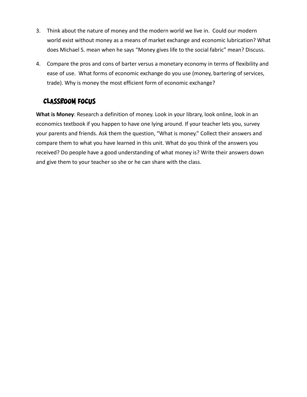- 3. Think about the nature of money and the modern world we live in. Could our modern world exist without money as a means of market exchange and economic lubrication? What does Michael S. mean when he says "Money gives life to the social fabric" mean? Discuss.
- 4. Compare the pros and cons of barter versus a monetary economy in terms of flexibility and ease of use. What forms of economic exchange do you use (money, bartering of services, trade). Why is money the most efficient form of economic exchange?

### **Classroom Focus**

**What is Money**: Research a definition of money. Look in your library, look online, look in an economics textbook if you happen to have one lying around. If your teacher lets you, survey your parents and friends. Ask them the question, "What is money." Collect their answers and compare them to what you have learned in this unit. What do you think of the answers you received? Do people have a good understanding of what money is? Write their answers down and give them to your teacher so she or he can share with the class.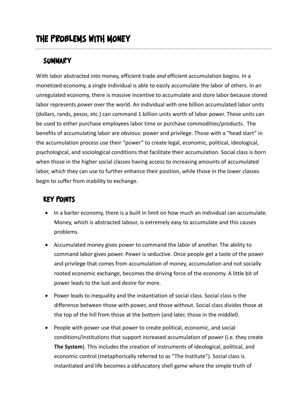### **Summary**

With labor abstracted into money, efficient trade *and* efficient accumulation begins. In a monetized economy, a single individual is able to easily accumulate the labor of others. In an unregulated economy, there is massive incentive to accumulate and store labor because stored labor represents *power* over the world. An individual with one billion accumulated labor units (dollars, rands, pesos, etc.) can command 1 billion units worth of labor power. These units can be used to either purchase employees labor time or purchase commodities/products. The benefits of accumulating labor are obvious: power and privilege. Those with a "head start" in the accumulation process use their "power" to create legal, economic, political, ideological, psychological, and sociological conditions that facilitate their accumulation. Social class is born when those in the higher social classes having access to increasing amounts of accumulated labor, which they can use to further enhance their position, while those in the lower classes begin to suffer from inability to exchange.

### **Key Points**

- In a barter economy, there is a built in limit on how much an individual can accumulate. Money, which is abstracted labour, is extremely easy to accumulate and this causes problems.
- Accumulated money gives power to command the labor of another. The ability to command labor gives power. Power is seductive. Once people get a taste of the power and privilege that comes from accumulation of money, accumulation and not socially rooted economic exchange, becomes the driving force of the economy. A little bit of power leads to the lust and desire for more.
- Power leads to inequality and the instantiation of social class. Social class is the difference between those with power, and those without. Social class divides those at the top of the hill from those at the bottom (and later, those in the middle0.
- People with power use that power to create political, economic, and social conditions/institutions that support increased accumulation of power (i.e. they create **The System**). This includes the creation of instruments of ideological, political, and economic control (metaphorically referred to as "The Institute"). Social class is instantiated and life becomes a obfuscatory shell game where the simple truth of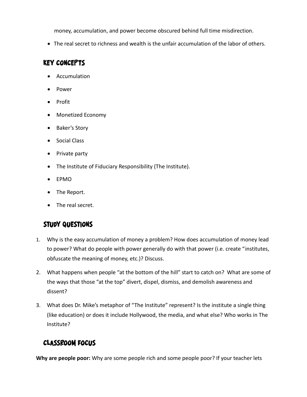money, accumulation, and power become obscured behind full time misdirection.

• The real secret to richness and wealth is the unfair accumulation of the labor of others.

#### **Key Concepts**

- Accumulation
- Power
- Profit
- Monetized Economy
- Baker's Story
- Social Class
- Private party
- The Institute of Fiduciary Responsibility (The Institute).
- EPMO
- The Report.
- The real secret.

### **Study Questions**

- 1. Why is the easy accumulation of money a problem? How does accumulation of money lead to power? What do people with power generally do with that power (i.e. create "institutes, obfuscate the meaning of money, etc.)? Discuss.
- 2. What happens when people "at the bottom of the hill" start to catch on? What are some of the ways that those "at the top" divert, dispel, dismiss, and demolish awareness and dissent?
- 3. What does Dr. Mike's metaphor of "The Institute" represent? Is the institute a single thing (like education) or does it include Hollywood, the media, and what else? Who works in The Institute?

### **Classroom Focus**

**Why are people poor:** Why are some people rich and some people poor? If your teacher lets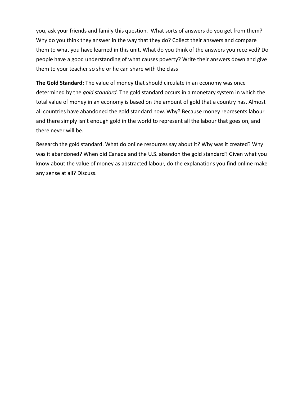you, ask your friends and family this question. What sorts of answers do you get from them? Why do you think they answer in the way that they do? Collect their answers and compare them to what you have learned in this unit. What do you think of the answers you received? Do people have a good understanding of what causes poverty? Write their answers down and give them to your teacher so she or he can share with the class

**The Gold Standard:** The value of money that should circulate in an economy was once determined by the *gold standard.* The gold standard occurs in a monetary system in which the total value of money in an economy is based on the amount of gold that a country has. Almost all countries have abandoned the gold standard now. Why? Because money represents labour and there simply isn't enough gold in the world to represent all the labour that goes on, and there never will be.

Research the gold standard. What do online resources say about it? Why was it created? Why was it abandoned? When did Canada and the U.S. abandon the gold standard? Given what you know about the value of money as abstracted labour, do the explanations you find online make any sense at all? Discuss.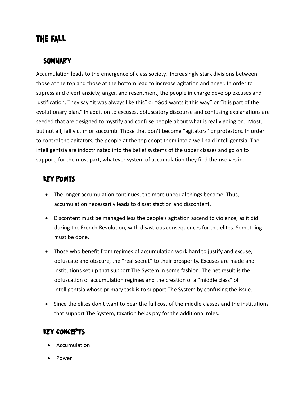# **The Fall**

### **Summary**

Accumulation leads to the emergence of class society. Increasingly stark divisions between those at the top and those at the bottom lead to increase agitation and anger. In order to supress and divert anxiety, anger, and resentment, the people in charge develop excuses and justification. They say "it was always like this" or "God wants it this way" or "it is part of the evolutionary plan." In addition to excuses, obfuscatory discourse and confusing explanations are seeded that are designed to mystify and confuse people about what is really going on. Most, but not all, fall victim or succumb. Those that don't become "agitators" or protestors. In order to control the agitators, the people at the top coopt them into a well paid intelligentsia. The intelligentsia are indoctrinated into the belief systems of the upper classes and go on to support, for the most part, whatever system of accumulation they find themselves in.

### **Key Points**

- The longer accumulation continues, the more unequal things become. Thus, accumulation necessarily leads to dissatisfaction and discontent.
- Discontent must be managed less the people's agitation ascend to violence, as it did during the French Revolution, with disastrous consequences for the elites. Something must be done.
- Those who benefit from regimes of accumulation work hard to justify and excuse, obfuscate and obscure, the "real secret" to their prosperity. Excuses are made and institutions set up that support The System in some fashion. The net result is the obfuscation of accumulation regimes and the creation of a "middle class" of intelligentsia whose primary task is to support The System by confusing the issue.
- Since the elites don't want to bear the full cost of the middle classes and the institutions that support The System, taxation helps pay for the additional roles.

### **Key Concepts**

- Accumulation
- Power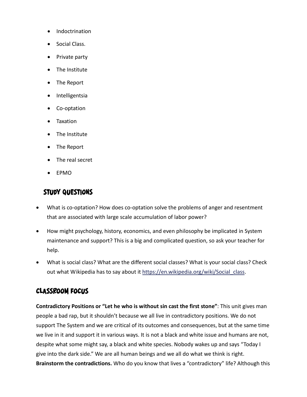- Indoctrination
- Social Class.
- Private party
- The Institute
- The Report
- Intelligentsia
- Co-optation
- Taxation
- The Institute
- The Report
- The real secret
- EPMO

- What is co-optation? How does co-optation solve the problems of anger and resentment that are associated with large scale accumulation of labor power?
- How might psychology, history, economics, and even philosophy be implicated in System maintenance and support? This is a big and complicated question, so ask your teacher for help.
- What is social class? What are the different social classes? What is your social class? Check out what Wikipedia has to say about it https://en.wikipedia.org/wiki/Social class.

### **Classroom Focus**

**Contradictory Positions or "Let he who is without sin cast the first stone"**: This unit gives man people a bad rap, but it shouldn't because we all live in contradictory positions. We do not support The System and we are critical of its outcomes and consequences, but at the same time we live in it and support it in various ways. It is not a black and white issue and humans are not, despite what some might say, a black and white species. Nobody wakes up and says "Today I give into the dark side." We are all human beings and we all do what we think is right. **Brainstorm the contradictions.** Who do you know that lives a "contradictory" life? Although this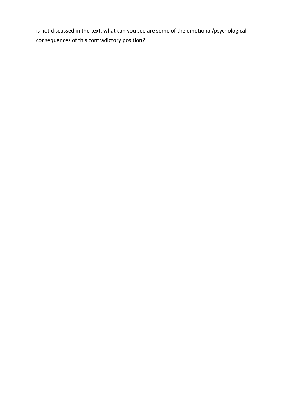is not discussed in the text, what can you see are some of the emotional/psychological consequences of this contradictory position?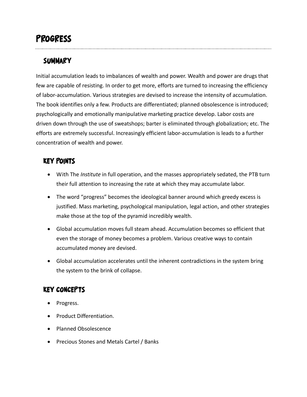# **Progress**

### **Summary**

Initial accumulation leads to imbalances of wealth and power. Wealth and power are drugs that few are capable of resisting. In order to get more, efforts are turned to increasing the efficiency of labor-accumulation. Various strategies are devised to increase the intensity of accumulation. The book identifies only a few. Products are differentiated; planned obsolescence is introduced; psychologically and emotionally manipulative marketing practice develop. Labor costs are driven down through the use of sweatshops; barter is eliminated through globalization; etc. The efforts are extremely successful. Increasingly efficient labor-accumulation is leads to a further concentration of wealth and power.

### **Key Points**

- With The *Institute* in full operation, and the masses appropriately sedated, the PTB turn their full attention to increasing the rate at which they may accumulate labor.
- The word "progress" becomes the ideological banner around which greedy excess is justified. Mass marketing, psychological manipulation, legal action, and other strategies make those at the top of the pyramid incredibly wealth.
- Global accumulation moves full steam ahead. Accumulation becomes so efficient that even the storage of money becomes a problem. Various creative ways to contain accumulated money are devised.
- Global accumulation accelerates until the inherent contradictions in the system bring the system to the brink of collapse.

### **Key Concepts**

- Progress.
- Product Differentiation.
- Planned Obsolescence
- Precious Stones and Metals Cartel / Banks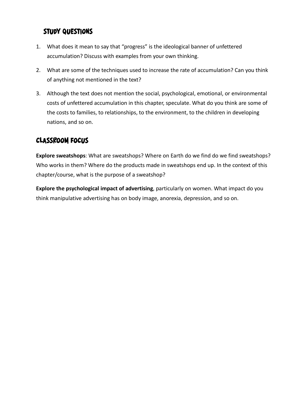- 1. What does it mean to say that "progress" is the ideological banner of unfettered accumulation? Discuss with examples from your own thinking.
- 2. What are some of the techniques used to increase the rate of accumulation? Can you think of anything not mentioned in the text?
- 3. Although the text does not mention the social, psychological, emotional, or environmental costs of unfettered accumulation in this chapter, speculate. What do you think are some of the costs to families, to relationships, to the environment, to the children in developing nations, and so on.

### **Classroom Focus**

**Explore sweatshops**: What are sweatshops? Where on Earth do we find do we find sweatshops? Who works in them? Where do the products made in sweatshops end up. In the context of this chapter/course, what is the purpose of a sweatshop?

**Explore the psychological impact of advertising**, particularly on women. What impact do you think manipulative advertising has on body image, anorexia, depression, and so on.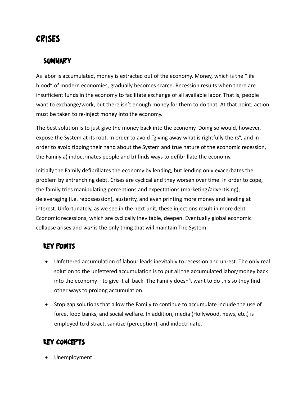# **Crises**

### **Summary**

As labor is accumulated, money is extracted out of the economy. Money, which is the "life blood" of modern economies, gradually becomes scarce. Recession results when there are insufficient funds in the economy to facilitate exchange of all available labor. That is, people want to exchange/work, but there isn't enough money for them to do that. At that point, action must be taken to re-inject money into the economy.

The best solution is to just give the money back into the economy. Doing so would, however, expose the System at its root. In order to avoid "giving away what is rightfully theirs", and in order to avoid tipping their hand about the System and true nature of the economic recession, the Family a) indoctrinates people and b) finds ways to defibrillate the economy.

Initially the Family defibrillates the economy by lending, but lending only exacerbates the problem by entrenching debt. Crises are cyclical and they worsen over time. In order to cope, the family tries manipulating perceptions and expectations (marketing/advertising), deleveraging (i.e. repossession), austerity, and even printing more money and lending at interest. Unfortunately, as we see in the next unit, these injections result in more debt. Economic recessions, which are cyclically inevitable, deepen. Eventually global economic collapse arises and *war* is the only thing that will maintain The System.

### **Key Points**

- Unfettered accumulation of labour leads inevitably to recession and unrest. The only real solution to the unfettered accumulation is to put all the accumulated labor/money back into the economy—to give it all back. The Family doesn't want to do this so they find other ways to prolong accumulation.
- Stop gap solutions that allow the Family to continue to accumulate include the use of force, food banks, and social welfare. In addition, media (Hollywood, news, etc.) is employed to distract, sanitize (perception), and indoctrinate.

### **Key Concepts**

• Unemployment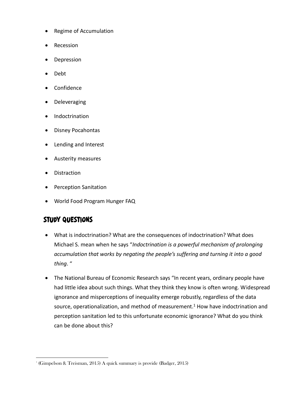- Regime of Accumulation
- Recession
- **Depression**
- Debt
- Confidence
- Deleveraging
- Indoctrination
- Disney Pocahontas
- Lending and Interest
- Austerity measures
- Distraction
- Perception Sanitation
- World Food Program Hunger FAQ

- What is indoctrination? What are the consequences of indoctrination? What does Michael S. mean when he says "*Indoctrination is a powerful mechanism of prolonging accumulation that works by negating the people's suffering and turning it into a good thing*. "
- The National Bureau of Economic Research says "In recent years, ordinary people have had little idea about such things. What they think they know is often wrong. Widespread ignorance and misperceptions of inequality emerge robustly, regardless of the data source, operationalization, and method of measurement. $1$  How have indoctrination and perception sanitation led to this unfortunate economic ignorance? What do you think can be done about this?

<sup>-</sup>1 (Gimpelson & Treisman, 2015) A quick summary is provide (Badger, 2015)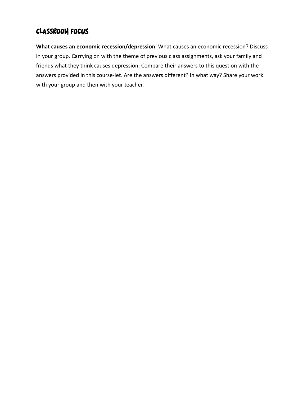### **Classroom Focus**

**What causes an economic recession/depression**: What causes an economic recession? Discuss in your group. Carrying on with the theme of previous class assignments, ask your family and friends what they think causes depression. Compare their answers to this question with the answers provided in this course-let. Are the answers different? In what way? Share your work with your group and then with your teacher.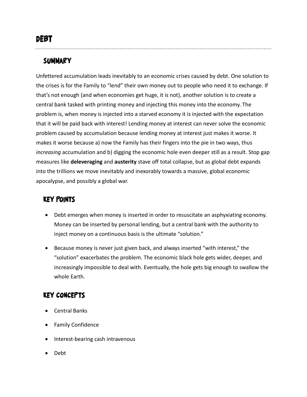### **Summary**

Unfettered accumulation leads inevitably to an economic crises caused by debt. One solution to the crises is for the Family to "lend" their own money out to people who need it to exchange. If that's not enough (and when economies get huge, it is not), another solution is to create a central bank tasked with printing money and injecting this money into the economy. The problem is, when money is injected into a starved economy it is injected with the expectation that it will be paid back with interest! Lending money at interest can never solve the economic problem caused by accumulation because lending money at interest just makes it worse. It makes it worse because a) now the Family has their fingers into the pie in two ways, thus *increasing* accumulation and b) digging the economic hole even deeper still as a result. Stop gap measures like **deleveraging** and **austerity** stave off total collapse, but as global debt expands into the trillions we move inevitably and inexorably towards a massive, global economic apocalypse, and possibly a global war.

### **Key Points**

- Debt emerges when money is inserted in order to resuscitate an asphyxiating economy. Money can be inserted by personal lending, but a central bank with the authority to inject money on a continuous basis is the ultimate "solution."
- Because money is never just given back, and always inserted "with interest," the "solution" exacerbates the problem. The economic black hole gets wider, deeper, and increasingly impossible to deal with. Eventually, the hole gets big enough to swallow the whole Earth.

### **Key Concepts**

- Central Banks
- Family Confidence
- Interest-bearing cash intravenous
- Debt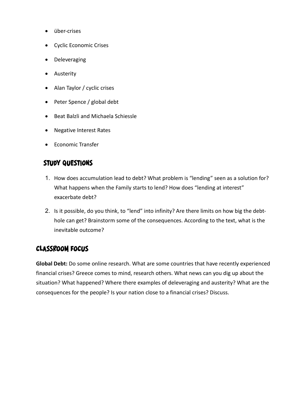- über-crises
- Cyclic Economic Crises
- Deleveraging
- Austerity
- Alan Taylor / cyclic crises
- Peter Spence / global debt
- Beat Balzli and Michaela Schiessle
- Negative Interest Rates
- Economic Transfer

- 1. How does accumulation lead to debt? What problem is "lending" seen as a solution for? What happens when the Family starts to lend? How does "lending at interest" exacerbate debt?
- 2. Is it possible, do you think, to "lend" into infinity? Are there limits on how big the debthole can get? Brainstorm some of the consequences. According to the text, what is the inevitable outcome?

### **Classroom Focus**

**Global Debt:** Do some online research. What are some countries that have recently experienced financial crises? Greece comes to mind, research others. What news can you dig up about the situation? What happened? Where there examples of deleveraging and austerity? What are the consequences for the people? Is your nation close to a financial crises? Discuss.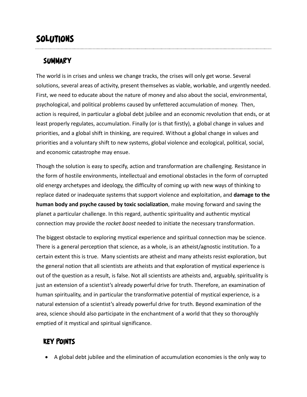# **Solutions**

### **Summary**

The world is in crises and unless we change tracks, the crises will only get worse. Several solutions, several areas of activity, present themselves as viable, workable, and urgently needed. First, we need to educate about the nature of money and also about the social, environmental, psychological, and political problems caused by unfettered accumulation of money. Then, action is required, in particular a global debt jubilee and an economic revolution that ends, or at least properly regulates, accumulation. Finally (or is that firstly), a global change in values and priorities, and a global shift in thinking, are required. Without a global change in values and priorities and a voluntary shift to new systems, global violence and ecological, political, social, and economic catastrophe may ensue.

Though the solution is easy to specify, action and transformation are challenging. Resistance in the form of hostile environments, intellectual and emotional obstacles in the form of corrupted old energy archetypes and ideology, the difficulty of coming up with new ways of thinking to replace dated or inadequate systems that support violence and exploitation, and **damage to the human body and psyche caused by toxic socialization**, make moving forward and saving the planet a particular challenge. In this regard, authentic spirituality and authentic mystical connection may provide the *rocket boost* needed to initiate the necessary transformation.

The biggest obstacle to exploring mystical experience and spiritual connection may be science. There is a general perception that science, as a whole, is an atheist/agnostic institution. To a certain extent this is true. Many scientists are atheist and many atheists resist exploration, but the general notion that all scientists are atheists and that exploration of mystical experience is out of the question as a result, is false. Not all scientists are atheists and, arguably, spirituality is just an extension of a scientist's already powerful drive for truth. Therefore, an examination of human spirituality, and in particular the transformative potential of mystical experience, is a natural extension of a scientist's already powerful drive for truth. Beyond examination of the area, science should also participate in the enchantment of a world that they so thoroughly emptied of it mystical and spiritual significance.

### **Key Points**

• A global debt jubilee and the elimination of accumulation economies is the only way to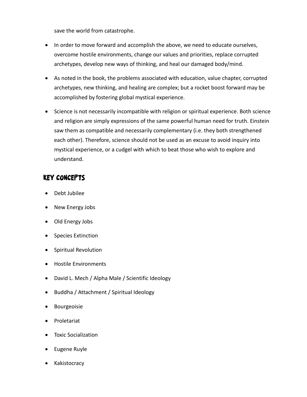save the world from catastrophe.

- In order to move forward and accomplish the above, we need to educate ourselves, overcome hostile environments, change our values and priorities, replace corrupted archetypes, develop new ways of thinking, and heal our damaged body/mind.
- As noted in the book, the problems associated with education, value chapter, corrupted archetypes, new thinking, and healing are complex; but a rocket boost forward may be accomplished by fostering global mystical experience.
- Science is not necessarily incompatible with religion or spiritual experience. Both science and religion are simply expressions of the same powerful human need for truth. Einstein saw them as compatible and necessarily complementary (i.e. they both strengthened each other). Therefore, science should not be used as an excuse to avoid inquiry into mystical experience, or a cudgel with which to beat those who wish to explore and understand.

#### **Key Concepts**

- Debt Jubilee
- New Energy Jobs
- Old Energy Jobs
- Species Extinction
- Spiritual Revolution
- Hostile Environments
- David L. Mech / Alpha Male / Scientific Ideology
- Buddha / Attachment / Spiritual Ideology
- Bourgeoisie
- Proletariat
- Toxic Socialization
- Eugene Ruyle
- **Kakistocracy**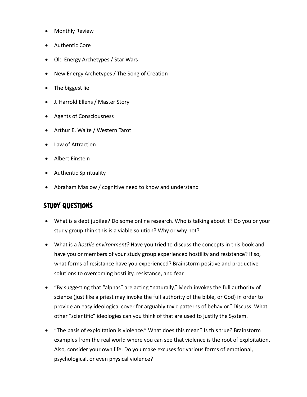- Monthly Review
- Authentic Core
- Old Energy Archetypes / Star Wars
- New Energy Archetypes / The Song of Creation
- The biggest lie
- J. Harrold Ellens / Master Story
- Agents of Consciousness
- Arthur E. Waite / Western Tarot
- Law of Attraction
- Albert Einstein
- Authentic Spirituality
- Abraham Maslow / cognitive need to know and understand

- What is a debt jubilee? Do some online research. Who is talking about it? Do you or your study group think this is a viable solution? Why or why not?
- What is a *hostile environment?* Have you tried to discuss the concepts in this book and have you or members of your study group experienced hostility and resistance? If so, what forms of resistance have you experienced? Brainstorm positive and productive solutions to overcoming hostility, resistance, and fear.
- "By suggesting that "alphas" are acting "naturally," Mech invokes the full authority of science (just like a priest may invoke the full authority of the bible, or God) in order to provide an easy ideological cover for arguably toxic patterns of behavior." Discuss. What other "scientific" ideologies can you think of that are used to justify the System.
- "The basis of exploitation is violence." What does this mean? Is this true? Brainstorm examples from the real world where you can see that violence is the root of exploitation. Also, consider your own life. Do you make excuses for various forms of emotional, psychological, or even physical violence?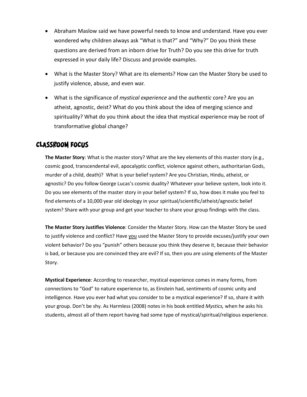- Abraham Maslow said we have powerful needs to know and understand. Have you ever wondered why children always ask "What is that?" and "Why?" Do you think these questions are derived from an inborn drive for Truth? Do you see this drive for truth expressed in your daily life? Discuss and provide examples.
- What is the Master Story? What are its elements? How can the Master Story be used to justify violence, abuse, and even war.
- What is the significance of *mystical experience* and the *authentic* core? Are you an atheist, agnostic, deist? What do you think about the idea of merging science and spirituality? What do you think about the idea that mystical experience may be root of transformative global change?

#### **Classroom Focus**

**The Master Story**: What is the master story? What are the key elements of this master story (e.g., cosmic good, transcendental evil, apocalyptic conflict, violence against others, authoritarian Gods, murder of a child, death)? What is your belief system? Are you Christian, Hindu, atheist, or agnostic? Do you follow George Lucas's cosmic duality? Whatever your believe system, look into it. Do you see elements of the master story in your belief system? If so, how does it make you feel to find elements of a 10,000 year old ideology in your spiritual/scientific/atheist/agnostic belief system? Share with your group and get your teacher to share your group findings with the class.

**The Master Story Justifies Violence**: Consider the Master Story. How can the Master Story be used to justify violence and conflict? Have you used the Master Story to provide excuses/justify your own violent behavior? Do you "punish" others because you think they deserve it, because their behavior is bad, or because you are convinced they are evil? If so, then you are using elements of the Master Story.

**Mystical Experience**: According to researcher, mystical experience comes in many forms, from connections to "God" to nature experience to, as Einstein had, sentiments of cosmic unity and intelligence. Have you ever had what you consider to be a mystical experience? If so, share it with your group. Don't be shy. As Harmless (2008) notes in his book entitled *Mystics,* when he asks his students, almost all of them report having had some type of mystical/spiritual/religious experience.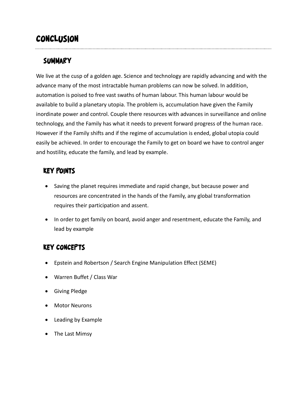# **Conclusion**

### **Summary**

We live at the cusp of a golden age. Science and technology are rapidly advancing and with the advance many of the most intractable human problems can now be solved. In addition, automation is poised to free vast swaths of human labour. This human labour would be available to build a planetary utopia. The problem is, accumulation have given the Family inordinate power and control. Couple there resources with advances in surveillance and online technology, and the Family has what it needs to prevent forward progress of the human race. However if the Family shifts and if the regime of accumulation is ended, global utopia could easily be achieved. In order to encourage the Family to get on board we have to control anger and hostility, educate the family, and lead by example.

### **Key Points**

- Saving the planet requires immediate and rapid change, but because power and resources are concentrated in the hands of the Family, any global transformation requires their participation and assent.
- In order to get family on board, avoid anger and resentment, educate the Family, and lead by example

### **Key Concepts**

- Epstein and Robertson / Search Engine Manipulation Effect (SEME)
- Warren Buffet / Class War
- Giving Pledge
- Motor Neurons
- Leading by Example
- The Last Mimsy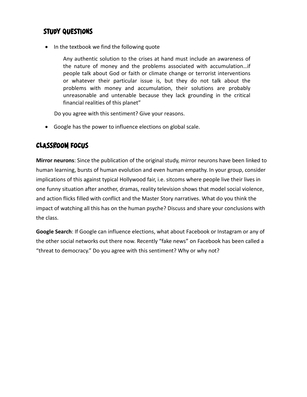• In the textbook we find the following quote

Any authentic solution to the crises at hand must include an awareness of the nature of money and the problems associated with accumulation…if people talk about God or faith or climate change or terrorist interventions or whatever their particular issue is, but they do not talk about the problems with money and accumulation, their solutions are probably unreasonable and untenable because they lack grounding in the critical financial realities of this planet"

Do you agree with this sentiment? Give your reasons.

• Google has the power to influence elections on global scale.

#### **Classroom Focus**

**Mirror neurons**: Since the publication of the original study, mirror neurons have been linked to human learning, bursts of human evolution and even human empathy. In your group, consider implications of this against typical Hollywood fair, i.e. sitcoms where people live their lives in one funny situation after another, dramas, reality television shows that model social violence, and action flicks filled with conflict and the Master Story narratives. What do you think the impact of watching all this has on the human psyche? Discuss and share your conclusions with the class.

**Google Search**: If Google can influence elections, what about Facebook or Instagram or any of the other social networks out there now. Recently "fake news" on Facebook has been called a "threat to democracy." Do you agree with this sentiment? Why or why not?